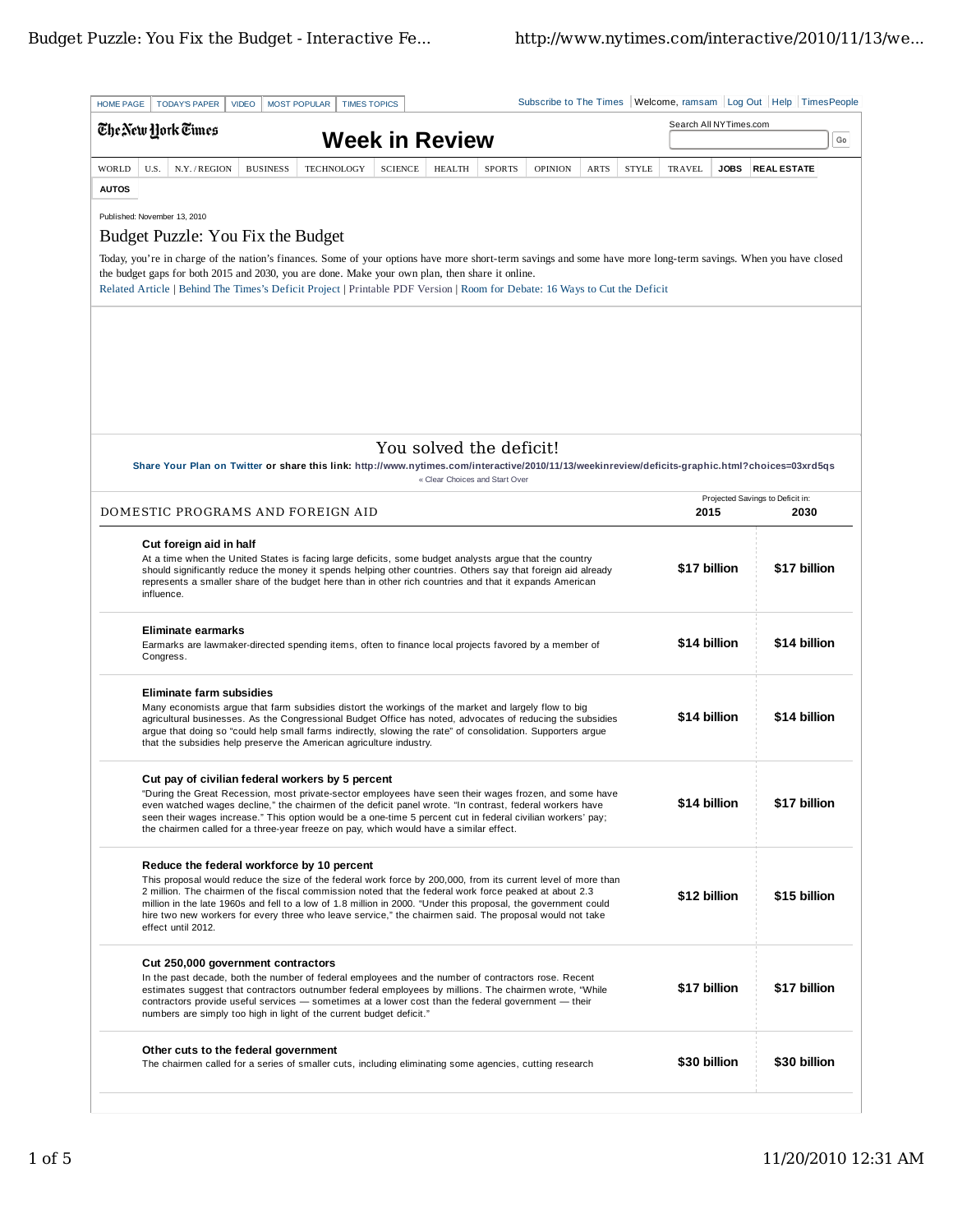|              |                                                                                                                                                                                                                               |                 |                       |                |               |                                |                |             |              | Search All NYTimes.com |             |                                  |    |
|--------------|-------------------------------------------------------------------------------------------------------------------------------------------------------------------------------------------------------------------------------|-----------------|-----------------------|----------------|---------------|--------------------------------|----------------|-------------|--------------|------------------------|-------------|----------------------------------|----|
|              | The New York Times                                                                                                                                                                                                            |                 | <b>Week in Review</b> |                |               |                                |                |             |              |                        |             |                                  | Go |
| WORLD        | U.S.<br>N.Y. / REGION                                                                                                                                                                                                         | <b>BUSINESS</b> | <b>TECHNOLOGY</b>     | <b>SCIENCE</b> | <b>HEALTH</b> | <b>SPORTS</b>                  | <b>OPINION</b> | <b>ARTS</b> | <b>STYLE</b> | <b>TRAVEL</b>          | <b>JOBS</b> | <b>REAL ESTATE</b>               |    |
| <b>AUTOS</b> |                                                                                                                                                                                                                               |                 |                       |                |               |                                |                |             |              |                        |             |                                  |    |
|              |                                                                                                                                                                                                                               |                 |                       |                |               |                                |                |             |              |                        |             |                                  |    |
|              | Published: November 13, 2010                                                                                                                                                                                                  |                 |                       |                |               |                                |                |             |              |                        |             |                                  |    |
|              | Budget Puzzle: You Fix the Budget                                                                                                                                                                                             |                 |                       |                |               |                                |                |             |              |                        |             |                                  |    |
|              | Today, you're in charge of the nation's finances. Some of your options have more short-term savings and some have more long-term savings. When you have closed                                                                |                 |                       |                |               |                                |                |             |              |                        |             |                                  |    |
|              | the budget gaps for both 2015 and 2030, you are done. Make your own plan, then share it online.<br>Related Article   Behind The Times's Deficit Project   Printable PDF Version   Room for Debate: 16 Ways to Cut the Deficit |                 |                       |                |               |                                |                |             |              |                        |             |                                  |    |
|              |                                                                                                                                                                                                                               |                 |                       |                |               |                                |                |             |              |                        |             |                                  |    |
|              |                                                                                                                                                                                                                               |                 |                       |                |               |                                |                |             |              |                        |             |                                  |    |
|              |                                                                                                                                                                                                                               |                 |                       |                |               |                                |                |             |              |                        |             |                                  |    |
|              |                                                                                                                                                                                                                               |                 |                       |                |               |                                |                |             |              |                        |             |                                  |    |
|              |                                                                                                                                                                                                                               |                 |                       |                |               |                                |                |             |              |                        |             |                                  |    |
|              |                                                                                                                                                                                                                               |                 |                       |                |               |                                |                |             |              |                        |             |                                  |    |
|              |                                                                                                                                                                                                                               |                 |                       |                |               |                                |                |             |              |                        |             |                                  |    |
|              |                                                                                                                                                                                                                               |                 |                       |                |               |                                |                |             |              |                        |             |                                  |    |
|              |                                                                                                                                                                                                                               |                 |                       |                |               | You solved the deficit!        |                |             |              |                        |             |                                  |    |
|              | Share Your Plan on Twitter or share this link: http://www.nytimes.com/interactive/2010/11/13/weekinreview/deficits-graphic.html?choices=03xrd5qs                                                                              |                 |                       |                |               |                                |                |             |              |                        |             |                                  |    |
|              |                                                                                                                                                                                                                               |                 |                       |                |               | « Clear Choices and Start Over |                |             |              |                        |             |                                  |    |
|              |                                                                                                                                                                                                                               |                 |                       |                |               |                                |                |             |              |                        |             | Projected Savings to Deficit in: |    |
|              | DOMESTIC PROGRAMS AND FOREIGN AID                                                                                                                                                                                             |                 |                       |                |               |                                |                |             |              | 2015                   |             | 2030                             |    |
|              |                                                                                                                                                                                                                               |                 |                       |                |               |                                |                |             |              |                        |             |                                  |    |
|              | Cut foreign aid in half                                                                                                                                                                                                       |                 |                       |                |               |                                |                |             |              |                        |             |                                  |    |
|              | At a time when the United States is facing large deficits, some budget analysts argue that the country<br>should significantly reduce the money it spends helping other countries. Others say that foreign aid already        |                 |                       |                |               |                                |                |             |              | \$17 billion           |             | \$17 billion                     |    |
|              | represents a smaller share of the budget here than in other rich countries and that it expands American                                                                                                                       |                 |                       |                |               |                                |                |             |              |                        |             |                                  |    |
|              | influence.                                                                                                                                                                                                                    |                 |                       |                |               |                                |                |             |              |                        |             |                                  |    |
|              |                                                                                                                                                                                                                               |                 |                       |                |               |                                |                |             |              |                        |             |                                  |    |
|              | Eliminate earmarks                                                                                                                                                                                                            |                 |                       |                |               |                                |                |             |              | \$14 billion           |             | \$14 billion                     |    |
|              | Earmarks are lawmaker-directed spending items, often to finance local projects favored by a member of<br>Congress.                                                                                                            |                 |                       |                |               |                                |                |             |              |                        |             |                                  |    |
|              |                                                                                                                                                                                                                               |                 |                       |                |               |                                |                |             |              |                        |             |                                  |    |
|              | <b>Eliminate farm subsidies</b>                                                                                                                                                                                               |                 |                       |                |               |                                |                |             |              |                        |             |                                  |    |
|              | Many economists argue that farm subsidies distort the workings of the market and largely flow to big                                                                                                                          |                 |                       |                |               |                                |                |             |              |                        |             |                                  |    |
|              | agricultural businesses. As the Congressional Budget Office has noted, advocates of reducing the subsidies                                                                                                                    |                 |                       |                |               |                                |                |             |              | \$14 billion           |             | \$14 billion                     |    |
|              | arque that doing so "could help small farms indirectly, slowing the rate" of consolidation. Supporters arque<br>that the subsidies help preserve the American agriculture industry.                                           |                 |                       |                |               |                                |                |             |              |                        |             |                                  |    |
|              |                                                                                                                                                                                                                               |                 |                       |                |               |                                |                |             |              |                        |             |                                  |    |
|              | Cut pay of civilian federal workers by 5 percent                                                                                                                                                                              |                 |                       |                |               |                                |                |             |              |                        |             |                                  |    |
|              | "During the Great Recession, most private-sector employees have seen their wages frozen, and some have                                                                                                                        |                 |                       |                |               |                                |                |             |              |                        |             |                                  |    |
|              | even watched wages decline," the chairmen of the deficit panel wrote. "In contrast, federal workers have                                                                                                                      |                 |                       |                |               |                                |                |             |              | \$14 billion           |             | \$17 billion                     |    |
|              | seen their wages increase." This option would be a one-time 5 percent cut in federal civilian workers' pay;<br>the chairmen called for a three-year freeze on pay, which would have a similar effect.                         |                 |                       |                |               |                                |                |             |              |                        |             |                                  |    |
|              |                                                                                                                                                                                                                               |                 |                       |                |               |                                |                |             |              |                        |             |                                  |    |
|              |                                                                                                                                                                                                                               |                 |                       |                |               |                                |                |             |              |                        |             |                                  |    |
|              | Reduce the federal workforce by 10 percent<br>This proposal would reduce the size of the federal work force by 200,000, from its current level of more than                                                                   |                 |                       |                |               |                                |                |             |              |                        |             |                                  |    |
|              | 2 million. The chairmen of the fiscal commission noted that the federal work force peaked at about 2.3                                                                                                                        |                 |                       |                |               |                                |                |             |              | \$12 billion           |             | \$15 billion                     |    |
|              | million in the late 1960s and fell to a low of 1.8 million in 2000. "Under this proposal, the government could                                                                                                                |                 |                       |                |               |                                |                |             |              |                        |             |                                  |    |
|              | hire two new workers for every three who leave service," the chairmen said. The proposal would not take<br>effect until 2012.                                                                                                 |                 |                       |                |               |                                |                |             |              |                        |             |                                  |    |
|              |                                                                                                                                                                                                                               |                 |                       |                |               |                                |                |             |              |                        |             |                                  |    |
|              | Cut 250,000 government contractors                                                                                                                                                                                            |                 |                       |                |               |                                |                |             |              |                        |             |                                  |    |
|              | In the past decade, both the number of federal employees and the number of contractors rose. Recent                                                                                                                           |                 |                       |                |               |                                |                |             |              |                        |             |                                  |    |
|              | estimates suggest that contractors outnumber federal employees by millions. The chairmen wrote, "While                                                                                                                        |                 |                       |                |               |                                |                |             |              | \$17 billion           |             | \$17 billion                     |    |
|              | contractors provide useful services $-$ sometimes at a lower cost than the federal government $-$ their<br>numbers are simply too high in light of the current budget deficit."                                               |                 |                       |                |               |                                |                |             |              |                        |             |                                  |    |
|              |                                                                                                                                                                                                                               |                 |                       |                |               |                                |                |             |              |                        |             |                                  |    |
|              |                                                                                                                                                                                                                               |                 |                       |                |               |                                |                |             |              |                        |             |                                  |    |
|              |                                                                                                                                                                                                                               |                 |                       |                |               |                                |                |             |              |                        |             |                                  |    |
|              | Other cuts to the federal government<br>The chairmen called for a series of smaller cuts, including eliminating some agencies, cutting research                                                                               |                 |                       |                |               |                                |                |             |              | \$30 billion           |             | \$30 billion                     |    |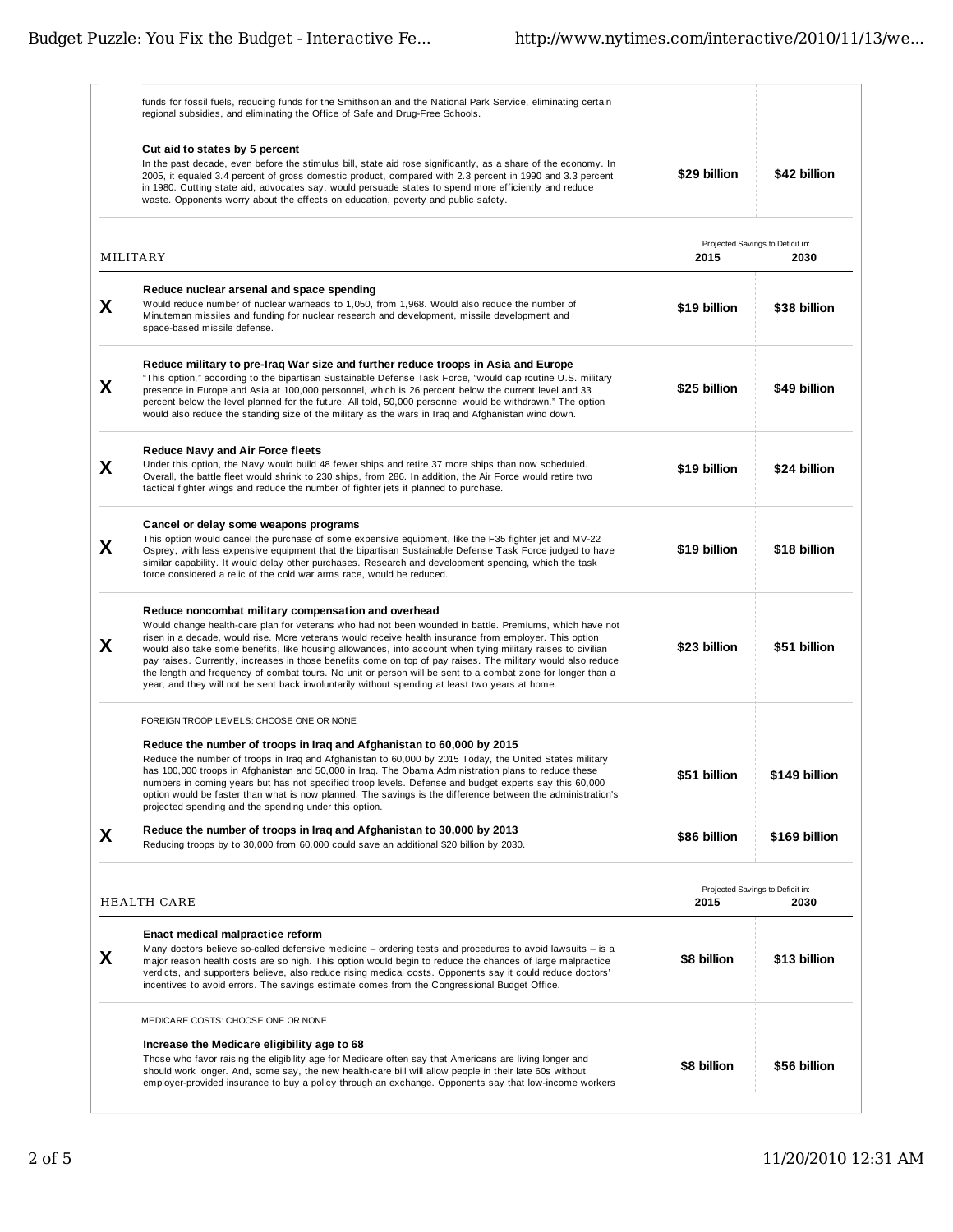|   | funds for fossil fuels, reducing funds for the Smithsonian and the National Park Service, eliminating certain<br>regional subsidies, and eliminating the Office of Safe and Drug-Free Schools.                                                                                                                                                                                                                                                                                                                                                                                                                                                                                                                                                                                              |                              |                                          |
|---|---------------------------------------------------------------------------------------------------------------------------------------------------------------------------------------------------------------------------------------------------------------------------------------------------------------------------------------------------------------------------------------------------------------------------------------------------------------------------------------------------------------------------------------------------------------------------------------------------------------------------------------------------------------------------------------------------------------------------------------------------------------------------------------------|------------------------------|------------------------------------------|
|   | Cut aid to states by 5 percent<br>In the past decade, even before the stimulus bill, state aid rose significantly, as a share of the economy. In<br>2005, it equaled 3.4 percent of gross domestic product, compared with 2.3 percent in 1990 and 3.3 percent<br>in 1980. Cutting state aid, advocates say, would persuade states to spend more efficiently and reduce<br>waste. Opponents worry about the effects on education, poverty and public safety.                                                                                                                                                                                                                                                                                                                                 | \$29 billion                 | \$42 billion                             |
|   | MILITARY                                                                                                                                                                                                                                                                                                                                                                                                                                                                                                                                                                                                                                                                                                                                                                                    | 2015                         | Projected Savings to Deficit in:<br>2030 |
| X | Reduce nuclear arsenal and space spending<br>Would reduce number of nuclear warheads to 1,050, from 1,968. Would also reduce the number of<br>Minuteman missiles and funding for nuclear research and development, missile development and<br>space-based missile defense.                                                                                                                                                                                                                                                                                                                                                                                                                                                                                                                  | \$19 billion                 | \$38 billion                             |
| X | Reduce military to pre-Iraq War size and further reduce troops in Asia and Europe<br>"This option," according to the bipartisan Sustainable Defense Task Force, "would cap routine U.S. military<br>presence in Europe and Asia at 100,000 personnel, which is 26 percent below the current level and 33<br>percent below the level planned for the future. All told, 50,000 personnel would be withdrawn." The option<br>would also reduce the standing size of the military as the wars in Irag and Afghanistan wind down.                                                                                                                                                                                                                                                                | \$25 billion                 | \$49 billion                             |
| X | <b>Reduce Navy and Air Force fleets</b><br>Under this option, the Navy would build 48 fewer ships and retire 37 more ships than now scheduled.<br>Overall, the battle fleet would shrink to 230 ships, from 286. In addition, the Air Force would retire two<br>tactical fighter wings and reduce the number of fighter jets it planned to purchase.                                                                                                                                                                                                                                                                                                                                                                                                                                        | \$19 billion                 | \$24 billion                             |
| X | Cancel or delay some weapons programs<br>This option would cancel the purchase of some expensive equipment, like the F35 fighter jet and MV-22<br>Osprey, with less expensive equipment that the bipartisan Sustainable Defense Task Force judged to have<br>similar capability. It would delay other purchases. Research and development spending, which the task<br>force considered a relic of the cold war arms race, would be reduced.                                                                                                                                                                                                                                                                                                                                                 | \$19 billion                 | \$18 billion                             |
| X | Reduce noncombat military compensation and overhead<br>Would change health-care plan for veterans who had not been wounded in battle. Premiums, which have not<br>risen in a decade, would rise. More veterans would receive health insurance from employer. This option<br>would also take some benefits, like housing allowances, into account when tying military raises to civilian<br>pay raises. Currently, increases in those benefits come on top of pay raises. The military would also reduce<br>the length and frequency of combat tours. No unit or person will be sent to a combat zone for longer than a<br>year, and they will not be sent back involuntarily without spending at least two years at home.                                                                   | \$23 billion                 | \$51 billion                             |
| X | FOREIGN TROOP LEVELS: CHOOSE ONE OR NONE<br>Reduce the number of troops in Iraq and Afghanistan to 60,000 by 2015<br>Reduce the number of troops in Iraq and Afghanistan to 60,000 by 2015 Today, the United States military<br>has 100,000 troops in Afghanistan and 50,000 in Irag. The Obama Administration plans to reduce these<br>numbers in coming years but has not specified troop levels. Defense and budget experts say this 60,000<br>option would be faster than what is now planned. The savings is the difference between the administration's<br>projected spending and the spending under this option.<br>Reduce the number of troops in Iraq and Afghanistan to 30,000 by 2013<br>Reducing troops by to 30,000 from 60,000 could save an additional \$20 billion by 2030. | \$51 billion<br>\$86 billion | \$149 billion<br>\$169 billion           |
|   | <b>HEALTH CARE</b>                                                                                                                                                                                                                                                                                                                                                                                                                                                                                                                                                                                                                                                                                                                                                                          | 2015                         | Projected Savings to Deficit in:<br>2030 |
| X | Enact medical malpractice reform<br>Many doctors believe so-called defensive medicine – ordering tests and procedures to avoid lawsuits – is a<br>major reason health costs are so high. This option would begin to reduce the chances of large malpractice<br>verdicts, and supporters believe, also reduce rising medical costs. Opponents say it could reduce doctors'<br>incentives to avoid errors. The savings estimate comes from the Congressional Budget Office.                                                                                                                                                                                                                                                                                                                   | \$8 billion                  | \$13 billion                             |
|   | MEDICARE COSTS: CHOOSE ONE OR NONE<br>Increase the Medicare eligibility age to 68<br>Those who favor raising the eligibility age for Medicare often say that Americans are living longer and<br>should work longer. And, some say, the new health-care bill will allow people in their late 60s without<br>employer-provided insurance to buy a policy through an exchange. Opponents say that low-income workers                                                                                                                                                                                                                                                                                                                                                                           | \$8 billion                  | \$56 billion                             |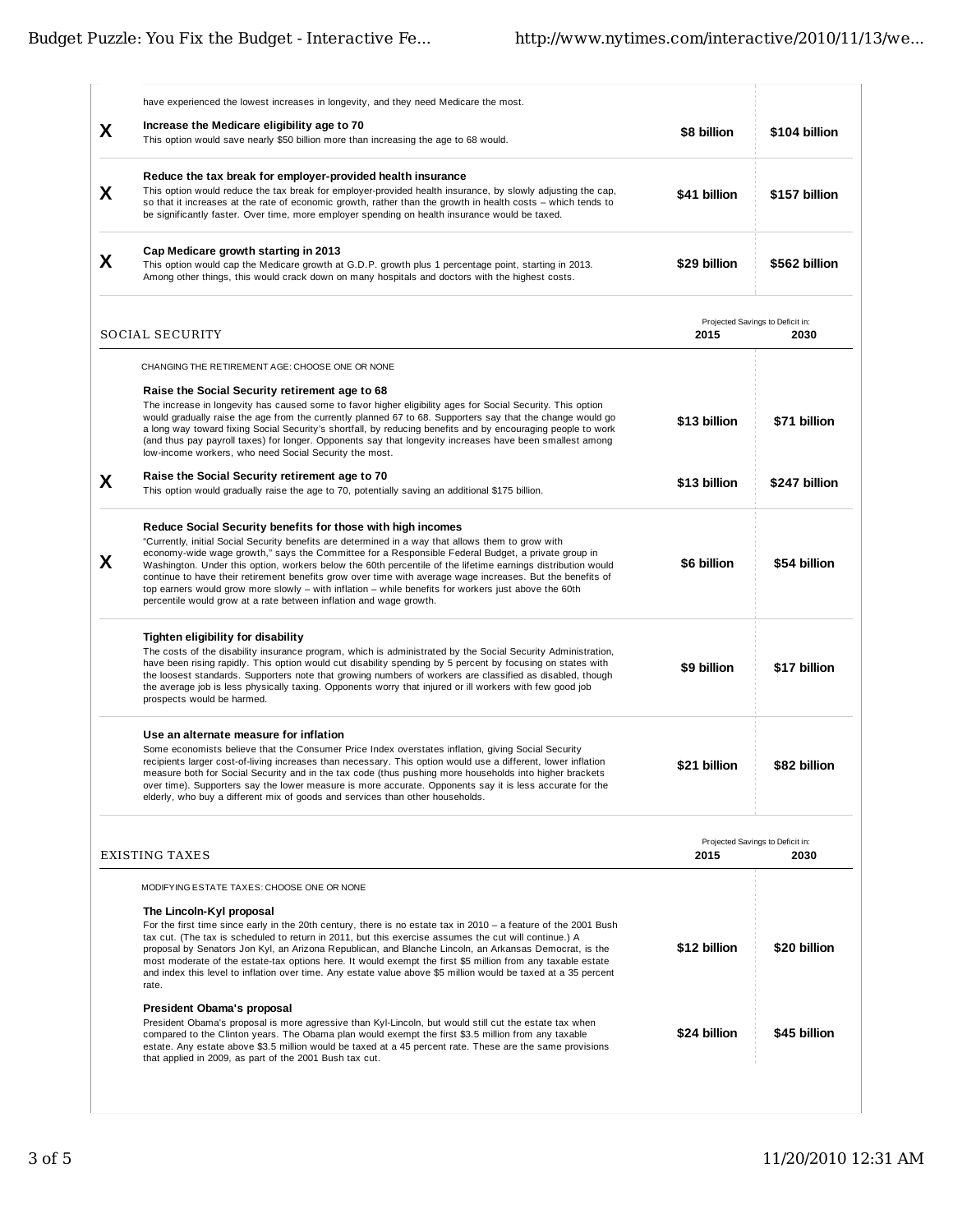|   | have experienced the lowest increases in longevity, and they need Medicare the most.                                                                                                                                                                                                                                                                                                                                                                                                                                                                                                                                                                                                    |                                                  |                                          |
|---|-----------------------------------------------------------------------------------------------------------------------------------------------------------------------------------------------------------------------------------------------------------------------------------------------------------------------------------------------------------------------------------------------------------------------------------------------------------------------------------------------------------------------------------------------------------------------------------------------------------------------------------------------------------------------------------------|--------------------------------------------------|------------------------------------------|
| X | Increase the Medicare eligibility age to 70<br>This option would save nearly \$50 billion more than increasing the age to 68 would.                                                                                                                                                                                                                                                                                                                                                                                                                                                                                                                                                     | \$8 billion                                      | \$104 billion                            |
| X | Reduce the tax break for employer-provided health insurance<br>This option would reduce the tax break for employer-provided health insurance, by slowly adjusting the cap,<br>so that it increases at the rate of economic growth, rather than the growth in health costs – which tends to<br>be significantly faster. Over time, more employer spending on health insurance would be taxed.                                                                                                                                                                                                                                                                                            | \$41 billion                                     | \$157 billion                            |
| X | Cap Medicare growth starting in 2013<br>This option would cap the Medicare growth at G.D.P. growth plus 1 percentage point, starting in 2013.<br>Among other things, this would crack down on many hospitals and doctors with the highest costs.                                                                                                                                                                                                                                                                                                                                                                                                                                        | \$29 billion                                     | \$562 billion                            |
|   | <b>SOCIAL SECURITY</b>                                                                                                                                                                                                                                                                                                                                                                                                                                                                                                                                                                                                                                                                  | 2015                                             | Projected Savings to Deficit in:<br>2030 |
|   | CHANGING THE RETIREMENT AGE: CHOOSE ONE OR NONE                                                                                                                                                                                                                                                                                                                                                                                                                                                                                                                                                                                                                                         |                                                  |                                          |
|   | Raise the Social Security retirement age to 68<br>The increase in longevity has caused some to favor higher eligibility ages for Social Security. This option<br>would gradually raise the age from the currently planned 67 to 68. Supporters say that the change would go<br>a long way toward fixing Social Security's shortfall, by reducing benefits and by encouraging people to work<br>(and thus pay payroll taxes) for longer. Opponents say that longevity increases have been smallest among<br>low-income workers, who need Social Security the most.                                                                                                                       | \$13 billion                                     | \$71 billion                             |
| X | Raise the Social Security retirement age to 70<br>This option would gradually raise the age to 70, potentially saving an additional \$175 billion.                                                                                                                                                                                                                                                                                                                                                                                                                                                                                                                                      | \$13 billion                                     | \$247 billion                            |
| X | Reduce Social Security benefits for those with high incomes<br>"Currently, initial Social Security benefits are determined in a way that allows them to grow with<br>economy-wide wage growth," says the Committee for a Responsible Federal Budget, a private group in<br>Washington. Under this option, workers below the 60th percentile of the lifetime earnings distribution would<br>continue to have their retirement benefits grow over time with average wage increases. But the benefits of<br>top earners would grow more slowly $-$ with inflation $-$ while benefits for workers just above the 60th<br>percentile would grow at a rate between inflation and wage growth. | \$6 billion                                      | \$54 billion                             |
|   | Tighten eligibility for disability<br>The costs of the disability insurance program, which is administrated by the Social Security Administration,<br>have been rising rapidly. This option would cut disability spending by 5 percent by focusing on states with<br>the loosest standards. Supporters note that growing numbers of workers are classified as disabled, though<br>the average job is less physically taxing. Opponents worry that injured or ill workers with few good job<br>prospects would be harmed.                                                                                                                                                                | \$9 billion                                      | \$17 billion                             |
|   | Use an alternate measure for inflation<br>Some economists believe that the Consumer Price Index overstates inflation, giving Social Security<br>recipients larger cost-of-living increases than necessary. This option would use a different, lower inflation<br>measure both for Social Security and in the tax code (thus pushing more households into higher brackets<br>over time). Supporters say the lower measure is more accurate. Opponents say it is less accurate for the<br>elderly, who buy a different mix of goods and services than other households.                                                                                                                   | \$21 billion                                     | \$82 billion                             |
|   | <b>EXISTING TAXES</b>                                                                                                                                                                                                                                                                                                                                                                                                                                                                                                                                                                                                                                                                   | Projected Savings to Deficit in:<br>2015<br>2030 |                                          |
|   | MODIFYING ESTATE TAXES: CHOOSE ONE OR NONE                                                                                                                                                                                                                                                                                                                                                                                                                                                                                                                                                                                                                                              |                                                  |                                          |
|   | The Lincoln-Kyl proposal<br>For the first time since early in the 20th century, there is no estate tax in $2010 - a$ feature of the 2001 Bush<br>tax cut. (The tax is scheduled to return in 2011, but this exercise assumes the cut will continue.) A<br>proposal by Senators Jon Kyl, an Arizona Republican, and Blanche Lincoln, an Arkansas Democrat, is the<br>most moderate of the estate-tax options here. It would exempt the first \$5 million from any taxable estate<br>and index this level to inflation over time. Any estate value above \$5 million would be taxed at a 35 percent<br>rate.                                                                              | \$12 billion                                     | \$20 billion                             |
|   | President Obama's proposal<br>President Obama's proposal is more agressive than Kyl-Lincoln, but would still cut the estate tax when<br>compared to the Clinton years. The Obama plan would exempt the first \$3.5 million from any taxable<br>estate. Any estate above \$3.5 million would be taxed at a 45 percent rate. These are the same provisions<br>that applied in 2009, as part of the 2001 Bush tax cut.                                                                                                                                                                                                                                                                     | \$24 billion                                     | \$45 billion                             |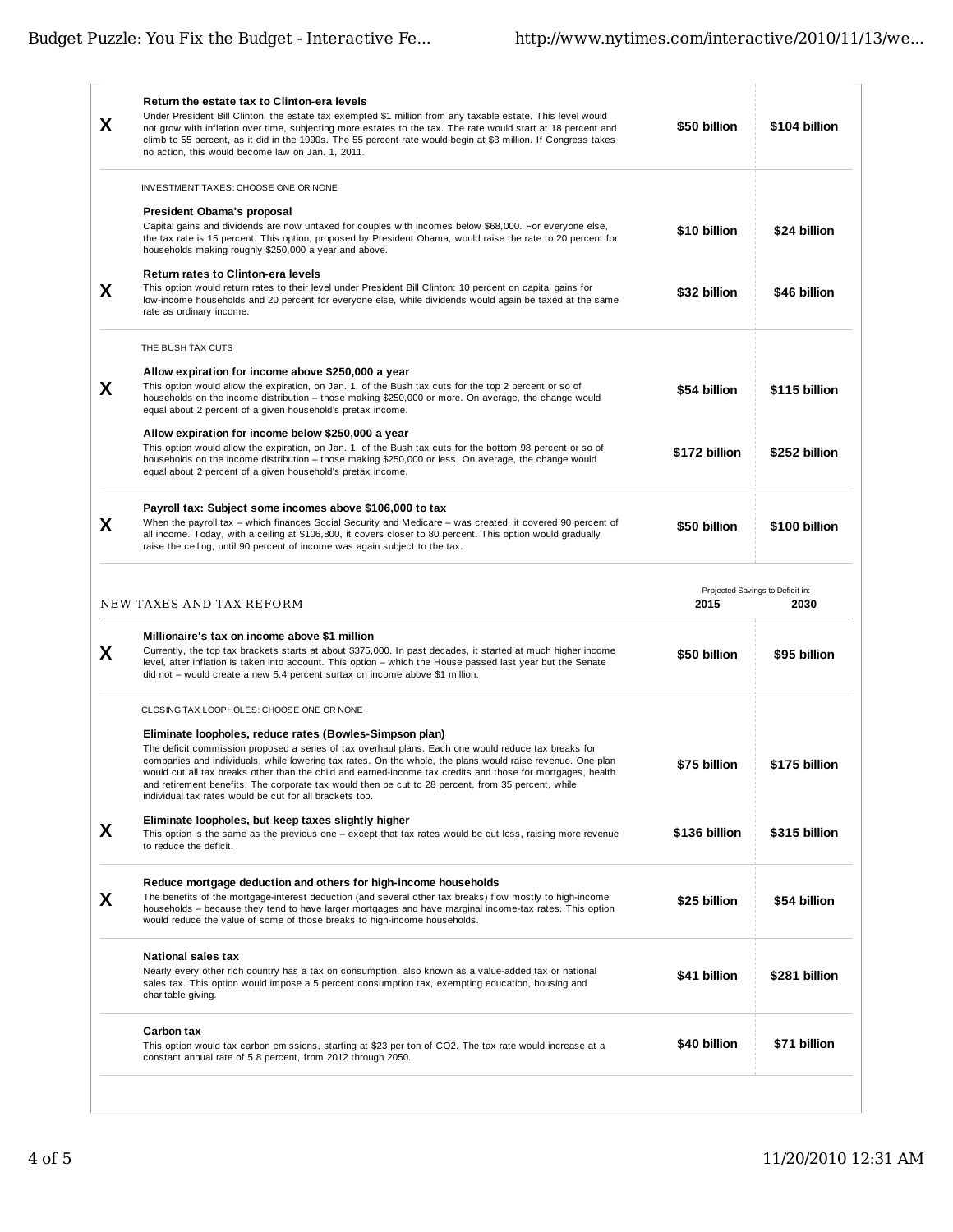| X | Return the estate tax to Clinton-era levels<br>Under President Bill Clinton, the estate tax exempted \$1 million from any taxable estate. This level would<br>not grow with inflation over time, subjecting more estates to the tax. The rate would start at 18 percent and<br>climb to 55 percent, as it did in the 1990s. The 55 percent rate would begin at \$3 million. If Congress takes<br>no action, this would become law on Jan. 1, 2011.                                                                                                            | \$50 billion  | \$104 billion                            |
|---|---------------------------------------------------------------------------------------------------------------------------------------------------------------------------------------------------------------------------------------------------------------------------------------------------------------------------------------------------------------------------------------------------------------------------------------------------------------------------------------------------------------------------------------------------------------|---------------|------------------------------------------|
|   | <b>INVESTMENT TAXES: CHOOSE ONE OR NONE</b>                                                                                                                                                                                                                                                                                                                                                                                                                                                                                                                   |               |                                          |
|   | President Obama's proposal<br>Capital gains and dividends are now untaxed for couples with incomes below \$68,000. For everyone else,<br>the tax rate is 15 percent. This option, proposed by President Obama, would raise the rate to 20 percent for<br>households making roughly \$250,000 a year and above.                                                                                                                                                                                                                                                | \$10 billion  | \$24 billion                             |
| X | Return rates to Clinton-era levels<br>This option would return rates to their level under President Bill Clinton: 10 percent on capital gains for<br>low-income households and 20 percent for everyone else, while dividends would again be taxed at the same<br>rate as ordinary income.                                                                                                                                                                                                                                                                     | \$32 billion  | \$46 billion                             |
|   | THE BUSH TAX CUTS                                                                                                                                                                                                                                                                                                                                                                                                                                                                                                                                             |               |                                          |
| X | Allow expiration for income above \$250,000 a year<br>This option would allow the expiration, on Jan. 1, of the Bush tax cuts for the top 2 percent or so of<br>households on the income distribution – those making \$250,000 or more. On average, the change would<br>equal about 2 percent of a given household's pretax income.                                                                                                                                                                                                                           | \$54 billion  | \$115 billion                            |
|   | Allow expiration for income below \$250,000 a year<br>This option would allow the expiration, on Jan. 1, of the Bush tax cuts for the bottom 98 percent or so of<br>households on the income distribution – those making \$250,000 or less. On average, the change would<br>equal about 2 percent of a given household's pretax income.                                                                                                                                                                                                                       | \$172 billion | \$252 billion                            |
| X | Payroll tax: Subject some incomes above \$106,000 to tax<br>When the payroll tax – which finances Social Security and Medicare – was created, it covered 90 percent of<br>all income. Today, with a ceiling at \$106,800, it covers closer to 80 percent. This option would gradually<br>raise the ceiling, until 90 percent of income was again subject to the tax.                                                                                                                                                                                          | \$50 billion  | \$100 billion                            |
|   |                                                                                                                                                                                                                                                                                                                                                                                                                                                                                                                                                               |               |                                          |
|   | NEW TAXES AND TAX REFORM                                                                                                                                                                                                                                                                                                                                                                                                                                                                                                                                      | 2015          | Projected Savings to Deficit in:<br>2030 |
|   | Millionaire's tax on income above \$1 million<br>Currently, the top tax brackets starts at about \$375,000. In past decades, it started at much higher income<br>level, after inflation is taken into account. This option – which the House passed last year but the Senate<br>did not - would create a new 5.4 percent surtax on income above \$1 million.                                                                                                                                                                                                  | \$50 billion  | \$95 billion                             |
| Χ | CLOSING TAX LOOPHOLES: CHOOSE ONE OR NONE                                                                                                                                                                                                                                                                                                                                                                                                                                                                                                                     |               |                                          |
|   | Eliminate loopholes, reduce rates (Bowles-Simpson plan)<br>The deficit commission proposed a series of tax overhaul plans. Each one would reduce tax breaks for<br>companies and individuals, while lowering tax rates. On the whole, the plans would raise revenue. One plan<br>would cut all tax breaks other than the child and earned-income tax credits and those for mortgages, health<br>and retirement benefits. The corporate tax would then be cut to 28 percent, from 35 percent, while<br>individual tax rates would be cut for all brackets too. | \$75 billion  | \$175 billion                            |
| X | Eliminate loopholes, but keep taxes slightly higher<br>This option is the same as the previous one $-$ except that tax rates would be cut less, raising more revenue<br>to reduce the deficit.                                                                                                                                                                                                                                                                                                                                                                | \$136 billion |                                          |
|   | Reduce mortgage deduction and others for high-income households<br>The benefits of the mortgage-interest deduction (and several other tax breaks) flow mostly to high-income<br>households – because they tend to have larger mortgages and have marginal income-tax rates. This option<br>would reduce the value of some of those breaks to high-income households.                                                                                                                                                                                          | \$25 billion  | \$54 billion                             |
| X | <b>National sales tax</b><br>Nearly every other rich country has a tax on consumption, also known as a value-added tax or national<br>sales tax. This option would impose a 5 percent consumption tax, exempting education, housing and<br>charitable giving.                                                                                                                                                                                                                                                                                                 | \$41 billion  | \$315 billion<br>\$281 billion           |